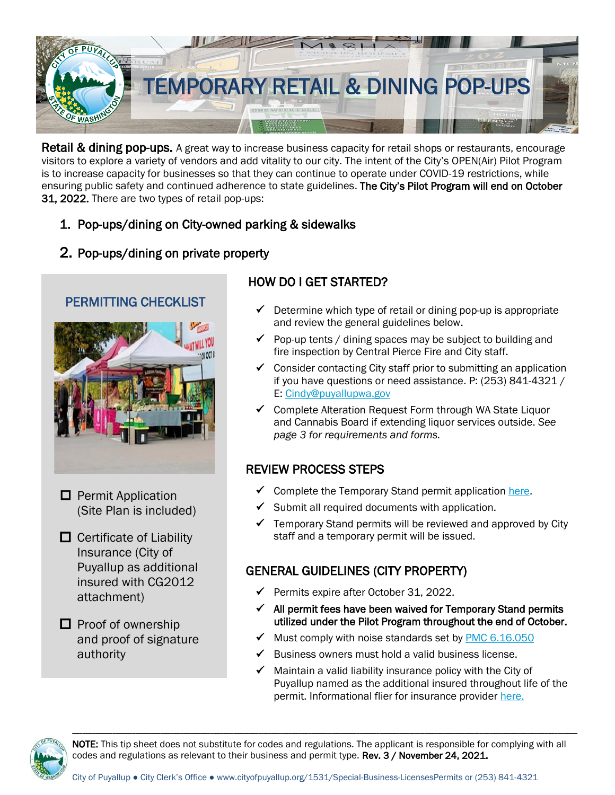

Retail & dining pop-ups. A great way to increase business capacity for retail shops or restaurants, encourage visitors to explore a variety of vendors and add vitality to our city. The intent of the City's OPEN(Air) Pilot Program is to increase capacity for businesses so that they can continue to operate under COVID-19 restrictions, while ensuring public safety and continued adherence to state guidelines. The City's Pilot Program will end on October 31, 2022. There are two types of retail pop-ups:

### 1. Pop-ups/dining on City-owned parking & sidewalks

### 2. Pop-ups/dining on private property



- $\Box$  Permit Application (Site Plan is included)
- $\Box$  Certificate of Liability Insurance (City of Puyallup as additional insured with CG2012 attachment)

 $\Box$  Proof of ownership and proof of signature authority

### HOW DO I GET STARTED?

- $\checkmark$  Determine which type of retail or dining pop-up is appropriate and review the general guidelines below.
- $\checkmark$  Pop-up tents / dining spaces may be subject to building and fire inspection by Central Pierce Fire and City staff.
- $\checkmark$  Consider contacting City staff prior to submitting an application if you have questions or need assistance. P: (253) 841-4321 / E: [Cindy@puyallupwa.gov](mailto:Cindy@puyallupwa.gov)
- ✓ Complete Alteration Request Form through WA State Liquor and Cannabis Board if extending liquor services outside. *See page 3 for requirements and forms.*

### REVIEW PROCESS STEPS

- $\checkmark$  Complete the Temporary Stand permit application [here.](http://www.cityofpuyallup.org/DocumentCenter/View/1582/Temporary-Stand-Permit-Application?bidId=)
- $\checkmark$  Submit all required documents with application.
- $\checkmark$  Temporary Stand permits will be reviewed and approved by City staff and a temporary permit will be issued.

### GENERAL GUIDELINES (CITY PROPERTY)

- ✓ Permits expire after October 31, 2022.
- $\checkmark$  All permit fees have been waived for Temporary Stand permits utilized under the Pilot Program throughout the end of October.
- $\checkmark$  Must comply with noise standards set by [PMC 6.16.050](https://www.codepublishing.com/WA/Puyallup/#!/Puyallup06/Puyallup0616.html)
- $\checkmark$  Business owners must hold a valid business license.
- $\checkmark$  Maintain a valid liability insurance policy with the City of Puyallup named as the additional insured throughout life of the permit. Informational flier for insurance provider [here.](https://www.cityofpuyallup.org/DocumentCenter/View/12262/Insurance-Requirements-for-Permit-Apps)



NOTE: This tip sheet does not substitute for codes and regulations. The applicant is responsible for complying with all codes and regulations as relevant to their business and permit type. Rev. 3 / November 24, 2021.

---------------------------------------------------------------------------------------------------------------------------------------------------------------------------------------------------------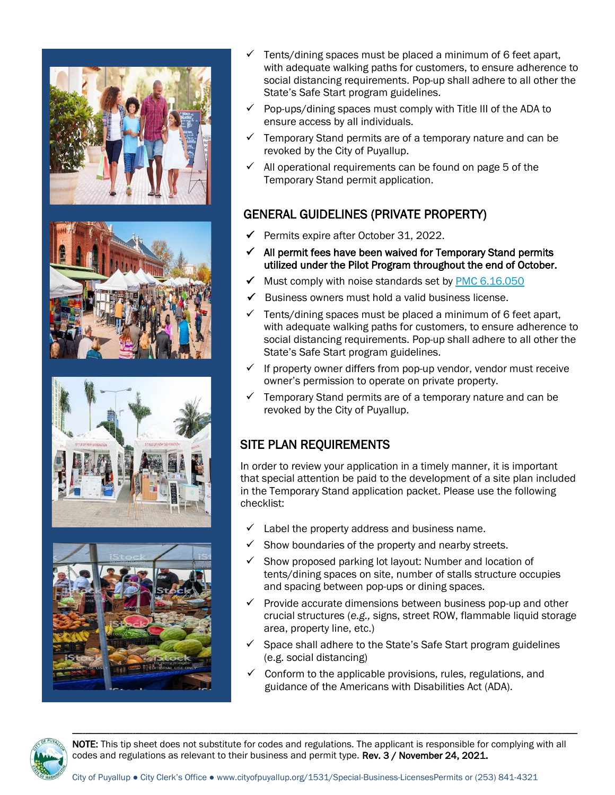





- $\checkmark$  Tents/dining spaces must be placed a minimum of 6 feet apart, with adequate walking paths for customers, to ensure adherence to social distancing requirements. Pop-up shall adhere to all other the State's Safe Start program guidelines.
- $\checkmark$  Pop-ups/dining spaces must comply with Title III of the ADA to ensure access by all individuals.
- $\checkmark$  Temporary Stand permits are of a temporary nature and can be revoked by the City of Puyallup.
- $\checkmark$  All operational requirements can be found on page 5 of the Temporary Stand permit application.

## GENERAL GUIDELINES (PRIVATE PROPERTY)

- ✓ Permits expire after October 31, 2022.
- $\checkmark$  All permit fees have been waived for Temporary Stand permits utilized under the Pilot Program throughout the end of October.
- ◆ Must comply with noise standards set by **PMC 6.16.050**
- Business owners must hold a valid business license.
- $\checkmark$  Tents/dining spaces must be placed a minimum of 6 feet apart, with adequate walking paths for customers, to ensure adherence to social distancing requirements. Pop-up shall adhere to all other the State's Safe Start program guidelines.
- If property owner differs from pop-up vendor, vendor must receive owner's permission to operate on private property.
- $\checkmark$  Temporary Stand permits are of a temporary nature and can be revoked by the City of Puyallup.

# SITE PLAN REQUIREMENTS

In order to review your application in a timely manner, it is important that special attention be paid to the development of a site plan included in the Temporary Stand application packet. Please use the following checklist:

- Label the property address and business name.
- $\checkmark$  Show boundaries of the property and nearby streets.
- $\checkmark$  Show proposed parking lot layout: Number and location of tents/dining spaces on site, number of stalls structure occupies and spacing between pop-ups or dining spaces.
- $\checkmark$  Provide accurate dimensions between business pop-up and other crucial structures (*e.g.,* signs, street ROW, flammable liquid storage area, property line, etc.)
- $\checkmark$  Space shall adhere to the State's Safe Start program guidelines (e.g. social distancing)
- $\checkmark$  Conform to the applicable provisions, rules, regulations, and guidance of the Americans with Disabilities Act (ADA).



NOTE: This tip sheet does not substitute for codes and regulations. The applicant is responsible for complying with all codes and regulations as relevant to their business and permit type. Rev. 3 / November 24, 2021.

---------------------------------------------------------------------------------------------------------------------------------------------------------------------------------------------------------